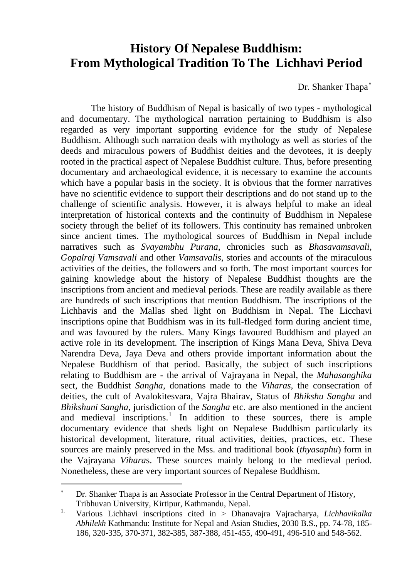# **History Of Nepalese Buddhism: From Mythological Tradition To The Lichhavi Period**

Dr. Shanker Thapa<sup>[∗](#page-0-0)</sup>

The history of Buddhism of Nepal is basically of two types - mythological and documentary. The mythological narration pertaining to Buddhism is also regarded as very important supporting evidence for the study of Nepalese Buddhism. Although such narration deals with mythology as well as stories of the deeds and miraculous powers of Buddhist deities and the devotees, it is deeply rooted in the practical aspect of Nepalese Buddhist culture. Thus, before presenting documentary and archaeological evidence, it is necessary to examine the accounts which have a popular basis in the society. It is obvious that the former narratives have no scientific evidence to support their descriptions and do not stand up to the challenge of scientific analysis. However, it is always helpful to make an ideal interpretation of historical contexts and the continuity of Buddhism in Nepalese society through the belief of its followers. This continuity has remained unbroken since ancient times. The mythological sources of Buddhism in Nepal include narratives such as *Svayambhu Purana*, chronicles such as *Bhasavamsavali, Gopalraj Vamsavali* and other *Vamsavalis*, stories and accounts of the miraculous activities of the deities, the followers and so forth. The most important sources for gaining knowledge about the history of Nepalese Buddhist thoughts are the inscriptions from ancient and medieval periods. These are readily available as there are hundreds of such inscriptions that mention Buddhism. The inscriptions of the Lichhavis and the Mallas shed light on Buddhism in Nepal. The Licchavi inscriptions opine that Buddhism was in its full-fledged form during ancient time, and was favoured by the rulers. Many Kings favoured Buddhism and played an active role in its development. The inscription of Kings Mana Deva, Shiva Deva Narendra Deva, Jaya Deva and others provide important information about the Nepalese Buddhism of that period. Basically, the subject of such inscriptions relating to Buddhism are - the arrival of Vajrayana in Nepal, the *Mahasanghika* sect, the Buddhist *Sangha*, donations made to the *Viharas*, the consecration of deities, the cult of Avalokitesvara, Vajra Bhairav, Status of *Bhikshu Sangha* and *Bhikshuni Sangha*, jurisdiction of the *Sangha* etc. are also mentioned in the ancient and medieval inscriptions.<sup>[1](#page-0-1)</sup> In addition to these sources, there is ample documentary evidence that sheds light on Nepalese Buddhism particularly its historical development, literature, ritual activities, deities, practices, etc. These sources are mainly preserved in the Mss. and traditional book (*thyasaphu*) form in the Vajrayana *Vihara*s. These sources mainly belong to the medieval period. Nonetheless, these are very important sources of Nepalese Buddhism.

<span id="page-0-0"></span><sup>∗</sup> Dr. Shanker Thapa is an Associate Professor in the Central Department of History, Tribhuvan University, Kirtipur, Kathmandu, Nepal.<br><sup>1.</sup> Various Lichbavi, incriptions cited in > Dhana

<span id="page-0-1"></span>Various Lichhavi inscriptions cited in > Dhanavajra Vajracharya, *Lichhavikalka Abhilekh* Kathmandu: Institute for Nepal and Asian Studies, 2030 B.S., pp. 74-78, 185- 186, 320-335, 370-371, 382-385, 387-388, 451-455, 490-491, 496-510 and 548-562.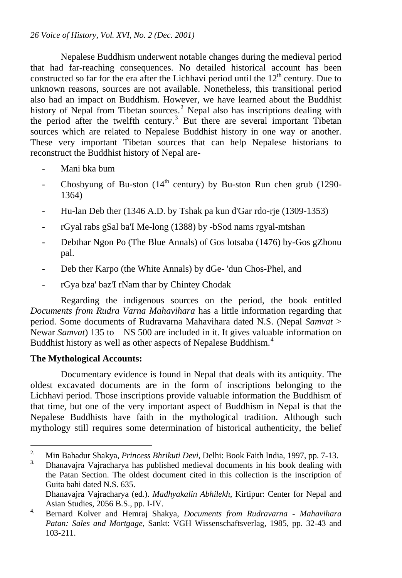*26 Voice of History, Vol. XVI, No. 2 (Dec. 2001)*

Nepalese Buddhism underwent notable changes during the medieval period that had far-reaching consequences. No detailed historical account has been constructed so far for the era after the Lichhavi period until the  $12<sup>th</sup>$  century. Due to unknown reasons, sources are not available. Nonetheless, this transitional period also had an impact on Buddhism. However, we have learned about the Buddhist history of Nepal from Tibetan sources.<sup>[2](#page-1-0)</sup> Nepal also has inscriptions dealing with the period after the twelfth century.<sup>[3](#page-1-1)</sup> But there are several important Tibetan sources which are related to Nepalese Buddhist history in one way or another. These very important Tibetan sources that can help Nepalese historians to reconstruct the Buddhist history of Nepal are-

- Mani bka bum
- Chosbyung of Bu-ston  $(14<sup>th</sup>$  century) by Bu-ston Run chen grub  $(1290-$ 1364)
- Hu-lan Deb ther (1346 A.D. by Tshak pa kun d'Gar rdo-rje (1309-1353)
- rGyal rabs gSal ba'I Me-long (1388) by -bSod nams rgyal-mtshan
- Debthar Ngon Po (The Blue Annals) of Gos lotsaba (1476) by-Gos gZhonu pal.
- Deb ther Karpo (the White Annals) by dGe- 'dun Chos-Phel, and
- rGya bza' baz'I rNam thar by Chintey Chodak

Regarding the indigenous sources on the period, the book entitled *Documents from Rudra Varna Mahavihara* has a little information regarding that period. Some documents of Rudravarna Mahavihara dated N.S. (Nepal *Samvat* > Newar *Samvat*) 135 to NS 500 are included in it. It gives valuable information on Buddhist history as well as other aspects of Nepalese Buddhism.<sup>[4](#page-2-0)</sup>

## **The Mythological Accounts:**

Documentary evidence is found in Nepal that deals with its antiquity. The oldest excavated documents are in the form of inscriptions belonging to the Lichhavi period. Those inscriptions provide valuable information the Buddhism of that time, but one of the very important aspect of Buddhism in Nepal is that the Nepalese Buddhists have faith in the mythological tradition. Although such mythology still requires some determination of historical authenticity, the belief

 2. <sup>2.</sup> Min Bahadur Shakya, *Princess Bhrikuti Devi*, Delhi: Book Faith India, 1997, pp. 7-13.<br><sup>3.</sup> Dhanayajin Vajinahama has muhlished madjayal degunants in his hook degling with

<span id="page-1-1"></span><span id="page-1-0"></span>Dhanavajra Vajracharya has published medieval documents in his book dealing with the Patan Section. The oldest document cited in this collection is the inscription of Guita bahi dated N.S. 635.

Dhanavajra Vajracharya (ed.). *Madhyakalin Abhilekh*, Kirtipur: Center for Nepal and Asian Studies, 2056 B.S., pp. I-IV.

Bernard Kolver and Hemraj Shakya, *Documents from Rudravarna - Mahavihara Patan: Sales and Mortgage*, Sankt: VGH Wissenschaftsverlag, 1985, pp. 32-43 and 103-211.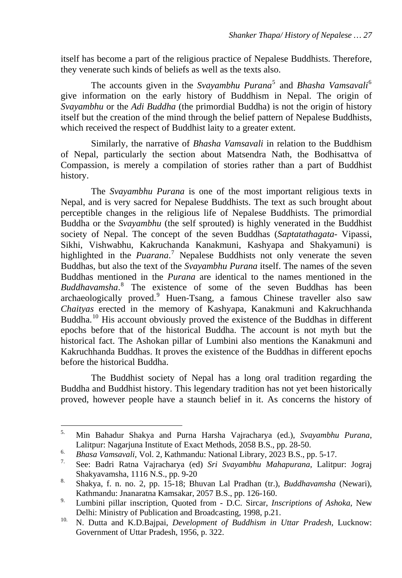itself has become a part of the religious practice of Nepalese Buddhists. Therefore, they venerate such kinds of beliefs as well as the texts also.

The accounts given in the *Svayambhu Purana*<sup>[5](#page-2-1)</sup> and *Bhasha Vamsavali*<sup>[6](#page-2-2)</sup> give information on the early history of Buddhism in Nepal. The origin of *Svayambhu* or the *Adi Buddha* (the primordial Buddha) is not the origin of history itself but the creation of the mind through the belief pattern of Nepalese Buddhists, which received the respect of Buddhist laity to a greater extent.

Similarly, the narrative of *Bhasha Vamsavali* in relation to the Buddhism of Nepal, particularly the section about Matsendra Nath, the Bodhisattva of Compassion, is merely a compilation of stories rather than a part of Buddhist history.

The *Svayambhu Purana* is one of the most important religious texts in Nepal, and is very sacred for Nepalese Buddhists. The text as such brought about perceptible changes in the religious life of Nepalese Buddhists. The primordial Buddha or the *Svayambhu* (the self sprouted) is highly venerated in the Buddhist society of Nepal. The concept of the seven Buddhas (*Saptatathagata-* Vipassi, Sikhi, Vishwabhu, Kakruchanda Kanakmuni, Kashyapa and Shakyamuni) is highlighted in the *Puarana*. [7](#page-2-3) Nepalese Buddhists not only venerate the seven Buddhas, but also the text of the *Svayambhu Purana* itself. The names of the seven Buddhas mentioned in the *Purana* are identical to the names mentioned in the *Buddhavamsha*. [8](#page-3-0) The existence of some of the seven Buddhas has been archaeologically proved.<sup>[9](#page-3-1)</sup> Huen-Tsang, a famous Chinese traveller also saw *Chaityas* erected in the memory of Kashyapa, Kanakmuni and Kakruchhanda Buddha.<sup>[10](#page-3-2)</sup> His account obviously proved the existence of the Buddhas in different epochs before that of the historical Buddha. The account is not myth but the historical fact. The Ashokan pillar of Lumbini also mentions the Kanakmuni and Kakruchhanda Buddhas. It proves the existence of the Buddhas in different epochs before the historical Buddha.

The Buddhist society of Nepal has a long oral tradition regarding the Buddha and Buddhist history. This legendary tradition has not yet been historically proved, however people have a staunch belief in it. As concerns the history of

<sup>5.</sup> Min Bahadur Shakya and Purna Harsha Vajracharya (ed.), *Svayambhu Purana*, Lalitpur: Nagarjuna Institute of Exact Methods, 2058 B.S., pp. 28-50.<br>
<sup>6.</sup> *Bhasa Vamsavali*, Vol. 2, Kathmandu: National Library, 2023 B.S., pp. 5-17.<br>
<sup>7.</sup> See: Bedri, Batne Veirscherus (ed.) Sri, Susuambly, Mahapurang,

<span id="page-2-0"></span>

See: Badri Ratna Vajracharya (ed) *Sri Svayambhu Mahapurana,* Lalitpur: Jograj Shakyavamsha, 1116 N.S., pp. 9-20

<span id="page-2-1"></span>Shakya, f. n. no. 2, pp. 15-18; Bhuvan Lal Pradhan (tr.), *Buddhavamsha* (Newari), Kathmandu: Jnanaratna Kamsakar, 2057 B.S., pp. 126-160.<br><sup>9.</sup> Lumbini pillor inscription, Quated from B.C. Since In

<span id="page-2-3"></span><span id="page-2-2"></span>Lumbini pillar inscription, Quoted from - D.C. Sircar, *Inscriptions of Ashoka,* New Delhi: Ministry of Publication and Broadcasting, 1998, p.21.<br><sup>10.</sup> N. Dutte and K.D. Beinei, *Dauglament*, of *Buddhian* in a

N. Dutta and K.D.Bajpai, *Development of Buddhism in Uttar Pradesh*, Lucknow: Government of Uttar Pradesh, 1956, p. 322.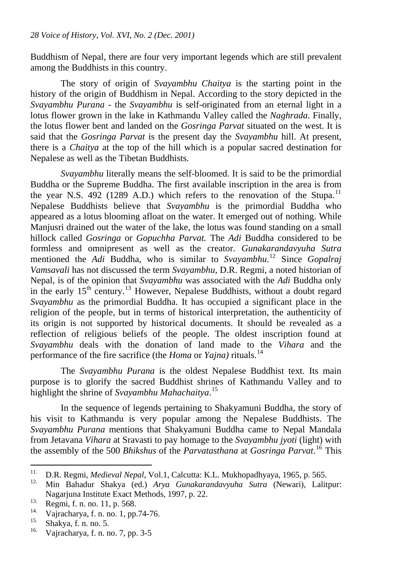Buddhism of Nepal, there are four very important legends which are still prevalent among the Buddhists in this country.

The story of origin of *Svayambhu Chaitya* is the starting point in the history of the origin of Buddhism in Nepal. According to the story depicted in the *Svayambhu Purana* - the *Svayambhu* is self-originated from an eternal light in a lotus flower grown in the lake in Kathmandu Valley called the *Naghrada*. Finally, the lotus flower bent and landed on the *Gosringa Parvat* situated on the west. It is said that the *Gosringa Parvat* is the present day the *Svayambhu* hill. At present, there is a *Chaitya* at the top of the hill which is a popular sacred destination for Nepalese as well as the Tibetan Buddhists.

*Svayambhu* literally means the self-bloomed. It is said to be the primordial Buddha or the Supreme Buddha. The first available inscription in the area is from the year N.S. 492 (1289 A.D.) which refers to the renovation of the Stupa.<sup>[11](#page-3-3)</sup> Nepalese Buddhists believe that *Svayambhu* is the primordial Buddha who appeared as a lotus blooming afloat on the water. It emerged out of nothing. While Manjusri drained out the water of the lake, the lotus was found standing on a small hillock called *Gosringa* or *Gopuchha Parvat.* The *Adi* Buddha considered to be formless and omnipresent as well as the creator. *Gunakarandavyuha Sutra*  mentioned the *Adi* Buddha, who is similar to *Svayambhu*. [12](#page-4-0) Since *Gopalraj Vamsavali* has not discussed the term *Svayambhu,* D.R. Regmi, a noted historian of Nepal, is of the opinion that *Svayambhu* was associated with the *Adi* Buddha only in the early  $15<sup>th</sup>$  century.<sup>[13](#page-4-1)</sup> However, Nepalese Buddhists, without a doubt regard *Svayambhu* as the primordial Buddha. It has occupied a significant place in the religion of the people, but in terms of historical interpretation, the authenticity of its origin is not supported by historical documents. It should be revealed as a reflection of religious beliefs of the people. The oldest inscription found at *Svayambhu* deals with the donation of land made to the *Vihara* and the performance of the fire sacrifice (the *Homa* or *Yajna)* rituals.[14](#page-4-2)

The *Svayambhu Purana* is the oldest Nepalese Buddhist text. Its main purpose is to glorify the sacred Buddhist shrines of Kathmandu Valley and to highlight the shrine of *Svayambhu Mahachaitya*. [15](#page-4-3)

In the sequence of legends pertaining to Shakyamuni Buddha, the story of his visit to Kathmandu is very popular among the Nepalese Buddhists. The *Svayambhu Purana* mentions that Shakyamuni Buddha came to Nepal Mandala from Jetavana *Vihara* at Sravasti to pay homage to the *Svayambhu jyoti* (light) with the assembly of the 500 *Bhikshus* of the *Parvatasthana* at *Gosringa Parvat*. [16](#page-4-4) This

Vajracharya, f. n. no. 7, pp. 3-5

<span id="page-3-1"></span> $\frac{1}{11}$ . <sup>11.</sup> D.R. Regmi, *Medieval Nepal*, Vol.1, Calcutta: K.L. Mukhopadhyaya, 1965, p. 565. 1<sup>2</sup>. Min. Babadur, Shekua, (od.), Amia, *Cungkanardamuka*, *Sutra*, (Nauari), J. elitt

<span id="page-3-2"></span><span id="page-3-0"></span>Min Bahadur Shakya (ed.) *Arya Gunakarandavyuha Sutra* (Newari), Lalitpur: Nagarjuna Institute Exact Methods, 1997, p. 22.

<span id="page-3-3"></span><sup>&</sup>lt;sup>13.</sup> Regmi, f. n. no. 11, p. 568.

<sup>&</sup>lt;sup>14.</sup> Vajracharya, f. n. no. 1, pp.74-76.<br><sup>15.</sup> Shelma f. n. no. 5.

<sup>&</sup>lt;sup>15.</sup> Shakya, f. n. no. 5.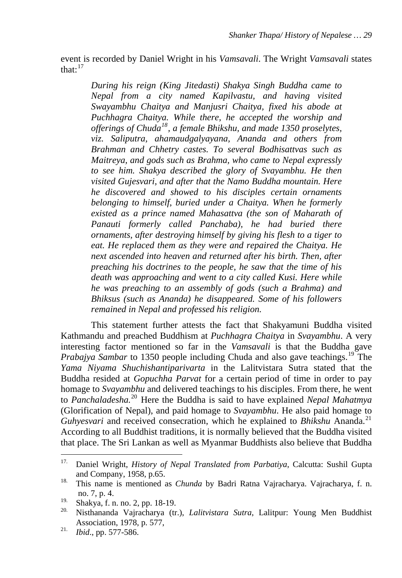event is recorded by Daniel Wright in his *Vamsavali*. The Wright *Vamsavali* states that: $17$ 

*During his reign (King Jitedasti) Shakya Singh Buddha came to Nepal from a city named Kapilvastu, and having visited Swayambhu Chaitya and Manjusri Chaitya, fixed his abode at Puchhagra Chaitya. While there, he accepted the worship and offerings of Chuda[18](#page-4-6), a female Bhikshu, and made 1350 proselytes, viz. Saliputra, ahamaudgalyayana, Ananda and others from Brahman and Chhetry castes. To several Bodhisattvas such as Maitreya, and gods such as Brahma, who came to Nepal expressly to see him. Shakya described the glory of Svayambhu. He then visited Gujesvari, and after that the Namo Buddha mountain. Here he discovered and showed to his disciples certain ornaments belonging to himself, buried under a Chaitya. When he formerly existed as a prince named Mahasattva (the son of Maharath of Panauti formerly called Panchaba), he had buried there ornaments, after destroying himself by giving his flesh to a tiger to eat. He replaced them as they were and repaired the Chaitya. He next ascended into heaven and returned after his birth. Then, after preaching his doctrines to the people, he saw that the time of his death was approaching and went to a city called Kusi. Here while he was preaching to an assembly of gods (such a Brahma) and Bhiksus (such as Ananda) he disappeared. Some of his followers remained in Nepal and professed his religion.* 

This statement further attests the fact that Shakyamuni Buddha visited Kathmandu and preached Buddhism at *Puchhagra Chaitya* in *Svayambhu*. A very interesting factor mentioned so far in the *Vamsavali* is that the Buddha gave *Prabajya Sambar* to 1350 people including Chuda and also gave teachings.<sup>[19](#page-5-0)</sup> The *Yama Niyama Shuchishantiparivarta* in the Lalitvistara Sutra stated that the Buddha resided at *Gopuchha Parvat* for a certain period of time in order to pay homage to *Svayambhu* and delivered teachings to his disciples. From there, he went to *Panchaladesha.*[20](#page-5-1) Here the Buddha is said to have explained *Nepal Mahatmya* (Glorification of Nepal), and paid homage to *Svayambhu*. He also paid homage to *Guhyesvari* and received consecration, which he explained to *Bhikshu* Ananda.<sup>[21](#page-5-2)</sup> According to all Buddhist traditions, it is normally believed that the Buddha visited that place. The Sri Lankan as well as Myanmar Buddhists also believe that Buddha

<span id="page-4-3"></span><span id="page-4-2"></span><span id="page-4-1"></span><span id="page-4-0"></span><sup>17.</sup>  Daniel Wright, *History of Nepal Translated from Parbatiya*, Calcutta: Sushil Gupta and Company, 1958, p.65.<br> $18.$  This name is mantional.

<span id="page-4-5"></span><span id="page-4-4"></span>This name is mentioned as *Chunda* by Badri Ratna Vajracharya. Vajracharya, f. n. no. 7, p. 4.

<sup>19.</sup>  $\frac{19}{20}$  Shakya, f. n. no. 2, pp. 18-19.

<span id="page-4-6"></span>Nisthananda Vajracharya (tr.), *Lalitvistara Sutra*, Lalitpur: Young Men Buddhist Association, 1978, p. 577, 21. *Ibid.* pp. 577, 596

*Ibid*., pp. 577-586.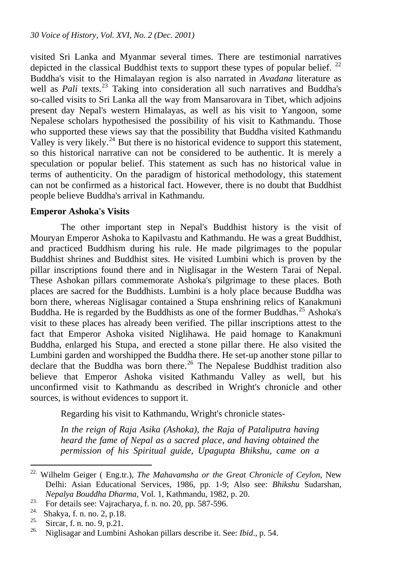visited Sri Lanka and Myanmar several times. There are testimonial narratives depicted in the classical Buddhist texts to support these types of popular belief.  $^{22}$  $^{22}$  $^{22}$ Buddha's visit to the Himalayan region is also narrated in *Avadana* literature as well as *Pali* texts.<sup>[23](#page-5-4)</sup> Taking into consideration all such narratives and Buddha's so-called visits to Sri Lanka all the way from Mansarovara in Tibet, which adjoins present day Nepal's western Himalayas, as well as his visit to Yangoon, some Nepalese scholars hypothesised the possibility of his visit to Kathmandu. Those who supported these views say that the possibility that Buddha visited Kathmandu Valley is very likely.<sup>[24](#page-6-0)</sup> But there is no historical evidence to support this statement, so this historical narrative can not be considered to be authentic. It is merely a speculation or popular belief. This statement as such has no historical value in terms of authenticity. On the paradigm of historical methodology, this statement can not be confirmed as a historical fact. However, there is no doubt that Buddhist people believe Buddha's arrival in Kathmandu.

## **Emperor Ashoka's Visits**

The other important step in Nepal's Buddhist history is the visit of Mouryan Emperor Ashoka to Kapilvastu and Kathmandu. He was a great Buddhist, and practiced Buddhism during his rule. He made pilgrimages to the popular Buddhist shrines and Buddhist sites. He visited Lumbini which is proven by the pillar inscriptions found there and in Niglisagar in the Western Tarai of Nepal. These Ashokan pillars commemorate Ashoka's pilgrimage to these places. Both places are sacred for the Buddhists. Lumbini is a holy place because Buddha was born there, whereas Niglisagar contained a Stupa enshrining relics of Kanakmuni Buddha. He is regarded by the Buddhists as one of the former Buddhas.<sup>[25](#page-6-1)</sup> Ashoka's visit to these places has already been verified. The pillar inscriptions attest to the fact that Emperor Ashoka visited Niglihawa. He paid homage to Kanakmuni Buddha, enlarged his Stupa, and erected a stone pillar there. He also visited the Lumbini garden and worshipped the Buddha there. He set-up another stone pillar to declare that the Buddha was born there.<sup>[26](#page-6-2)</sup> The Nepalese Buddhist tradition also believe that Emperor Ashoka visited Kathmandu Valley as well, but his unconfirmed visit to Kathmandu as described in Wright's chronicle and other sources, is without evidences to support it.

Regarding his visit to Kathmandu, Wright's chronicle states-

*In the reign of Raja Asika (Ashoka), the Raja of Pataliputra having heard the fame of Nepal as a sacred place, and having obtained the permission of his Spiritual guide, Upagupta Bhikshu, came on a* 

 22. Wilhelm Geiger ( Eng.tr.), *The Mahavamsha or the Great Chronicle of Ceylon*, New Delhi: Asian Educational Services, 1986, pp. 1-9; Also see: *Bhikshu* Sudarshan, *Nepalya Bouddha Dharma*, Vol. 1, Kathmandu, 1982, p. 20. 23.

<span id="page-5-3"></span><span id="page-5-0"></span><sup>&</sup>lt;sup>23.</sup> For details see: Vajracharya, f. n. no. 20, pp. 587-596.

<span id="page-5-1"></span><sup>&</sup>lt;sup>24.</sup> Shakya, f. n. no. 2, p.18.<br><sup>25.</sup> Since f. n. no. 0, p.21.

<span id="page-5-4"></span><span id="page-5-2"></span><sup>&</sup>lt;sup>25.</sup> Sircar, f. n. no. 9, p.21.<br><sup>26.</sup> Nigliagar and Lumbin.

Niglisagar and Lumbini Ashokan pillars describe it. See: *Ibid*., p. 54.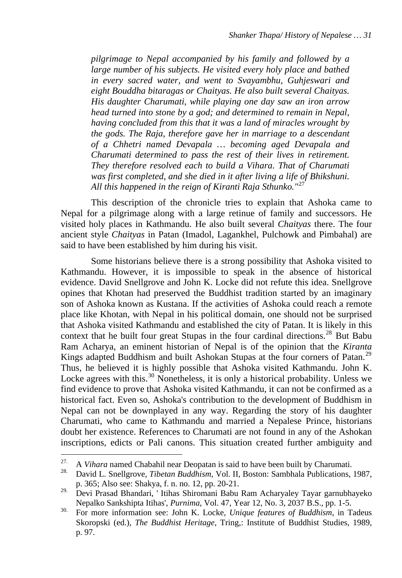*pilgrimage to Nepal accompanied by his family and followed by a large number of his subjects. He visited every holy place and bathed in every sacred water, and went to Svayambhu, Guhjeswari and eight Bouddha bitaragas or Chaityas. He also built several Chaityas. His daughter Charumati, while playing one day saw an iron arrow head turned into stone by a god; and determined to remain in Nepal, having concluded from this that it was a land of miracles wrought by the gods. The Raja, therefore gave her in marriage to a descendant of a Chhetri named Devapala … becoming aged Devapala and Charumati determined to pass the rest of their lives in retirement. They therefore resolved each to build a Vihara. That of Charumati was first completed, and she died in it after living a life of Bhikshuni. All this happened in the reign of Kiranti Raja Sthunko."*[27](#page-7-0)

This description of the chronicle tries to explain that Ashoka came to Nepal for a pilgrimage along with a large retinue of family and successors. He visited holy places in Kathmandu. He also built several *Chaityas* there. The four ancient style *Chaityas* in Patan (Imadol, Lagankhel, Pulchowk and Pimbahal) are said to have been established by him during his visit.

Some historians believe there is a strong possibility that Ashoka visited to Kathmandu. However, it is impossible to speak in the absence of historical evidence. David Snellgrove and John K. Locke did not refute this idea. Snellgrove opines that Khotan had preserved the Buddhist tradition started by an imaginary son of Ashoka known as Kustana. If the activities of Ashoka could reach a remote place like Khotan, with Nepal in his political domain, one should not be surprised that Ashoka visited Kathmandu and established the city of Patan. It is likely in this context that he built four great Stupas in the four cardinal directions.<sup>[28](#page-7-1)</sup> But Babu Ram Acharya, an eminent historian of Nepal is of the opinion that the *Kiranta* Kings adapted Buddhism and built Ashokan Stupas at the four corners of Patan.<sup>[29](#page-7-2)</sup> Thus, he believed it is highly possible that Ashoka visited Kathmandu. John K. Locke agrees with this.<sup>[30](#page-7-3)</sup> Nonetheless, it is only a historical probability. Unless we find evidence to prove that Ashoka visited Kathmandu, it can not be confirmed as a historical fact. Even so, Ashoka's contribution to the development of Buddhism in Nepal can not be downplayed in any way. Regarding the story of his daughter Charumati, who came to Kathmandu and married a Nepalese Prince, historians doubt her existence. References to Charumati are not found in any of the Ashokan inscriptions, edicts or Pali canons. This situation created further ambiguity and

 $\frac{1}{27}$ . <sup>27.</sup> A *Vihara* named Chabahil near Deopatan is said to have been built by Charumati.<br><sup>28.</sup> David L. Spollgrove, *Tibetan Buddhism*, Vol. II, Boston: Sambhala Bublications.

David L. Snellgrove, *Tibetan Buddhism*, Vol. II, Boston: Sambhala Publications, 1987, p. 365; Also see: Shakya, f. n. no. 12, pp. 20-21.

<span id="page-6-0"></span><sup>29.</sup> Devi Prasad Bhandari, ' Itihas Shiromani Babu Ram Acharyaley Tayar garnubhayeko Nepalko Sankshipta Itihas', *Purnima*, Vol. 47, Year 12, No. 3, 2037 B.S., pp. 1-5.<br><sup>30.</sup> For more information soo: John K. Looke, *Unique features of Buddhism*, in T.

<span id="page-6-2"></span><span id="page-6-1"></span>For more information see: John K. Locke, *Unique features of Buddhism*, in Tadeus Skoropski (ed.), *The Buddhist Heritage*, Tring,: Institute of Buddhist Studies, 1989, p. 97.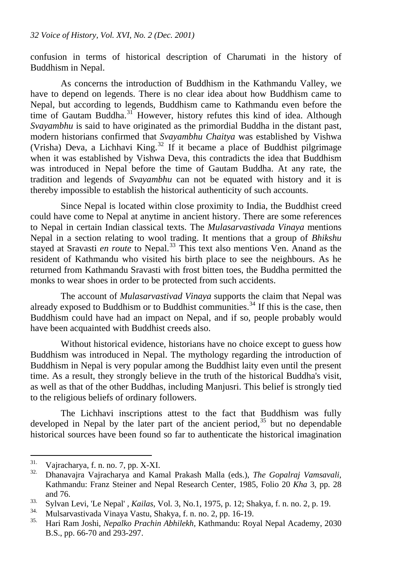confusion in terms of historical description of Charumati in the history of Buddhism in Nepal.

As concerns the introduction of Buddhism in the Kathmandu Valley, we have to depend on legends. There is no clear idea about how Buddhism came to Nepal, but according to legends, Buddhism came to Kathmandu even before the time of Gautam Buddha.<sup>[31](#page-8-0)</sup> However, history refutes this kind of idea. Although *Svayambhu* is said to have originated as the primordial Buddha in the distant past, modern historians confirmed that *Svayambhu Chaitya* was established by Vishwa (Vrisha) Deva, a Lichhavi King.<sup>[32](#page-8-1)</sup> If it became a place of Buddhist pilgrimage when it was established by Vishwa Deva, this contradicts the idea that Buddhism was introduced in Nepal before the time of Gautam Buddha. At any rate, the tradition and legends of *Svayambhu* can not be equated with history and it is thereby impossible to establish the historical authenticity of such accounts.

Since Nepal is located within close proximity to India, the Buddhist creed could have come to Nepal at anytime in ancient history. There are some references to Nepal in certain Indian classical texts. The *Mulasarvastivada Vinaya* mentions Nepal in a section relating to wool trading. It mentions that a group of *Bhikshu* stayed at Sravasti *en route* to Nepal.<sup>[33](#page-8-2)</sup> This text also mentions Ven. Anand as the resident of Kathmandu who visited his birth place to see the neighbours. As he returned from Kathmandu Sravasti with frost bitten toes, the Buddha permitted the monks to wear shoes in order to be protected from such accidents.

The account of *Mulasarvastivad Vinaya* supports the claim that Nepal was already exposed to Buddhism or to Buddhist communities.<sup>[34](#page-8-3)</sup> If this is the case, then Buddhism could have had an impact on Nepal, and if so, people probably would have been acquainted with Buddhist creeds also.

Without historical evidence, historians have no choice except to guess how Buddhism was introduced in Nepal. The mythology regarding the introduction of Buddhism in Nepal is very popular among the Buddhist laity even until the present time. As a result, they strongly believe in the truth of the historical Buddha's visit, as well as that of the other Buddhas, including Manjusri. This belief is strongly tied to the religious beliefs of ordinary followers.

<span id="page-7-0"></span>The Lichhavi inscriptions attest to the fact that Buddhism was fully developed in Nepal by the later part of the ancient period,  $35$  but no dependable historical sources have been found so far to authenticate the historical imagination

<span id="page-7-1"></span> $rac{1}{31}$ .  $\frac{31}{32}$  Vajracharya, f. n. no. 7, pp. X-XI.

Dhanavajra Vajracharya and Kamal Prakash Malla (eds.), *The Gopalraj Vamsavali,* Kathmandu: Franz Steiner and Nepal Research Center, 1985, Folio 20 *Kha* 3, pp. 28 and 76.

<span id="page-7-2"></span><sup>&</sup>lt;sup>33.</sup> Sylvan Levi, 'Le Nepal' , *Kailas*, Vol. 3, No. 1, 1975, p. 12; Shakya, f. n. no. 2, p. 19.  $\frac{34}{10}$ . Mulgary stined by Vecture Shakya, f. n. no. 2, p. 19.

<span id="page-7-3"></span><sup>&</sup>lt;sup>34.</sup> Mulsarvastivada Vinaya Vastu, Shakya, f. n. no. 2, pp. 16-19.<br><sup>35.</sup> Hari Barn Jachi, Manglha Bugghin Abbilahh, Kathmandu, Bar

Hari Ram Joshi, *Nepalko Prachin Abhilekh,* Kathmandu: Royal Nepal Academy, 2030 B.S., pp. 66-70 and 293-297.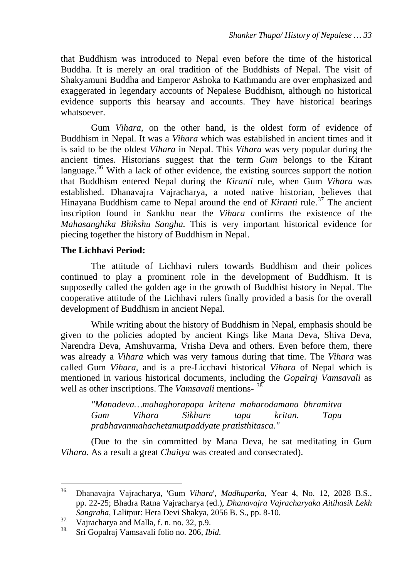that Buddhism was introduced to Nepal even before the time of the historical Buddha. It is merely an oral tradition of the Buddhists of Nepal. The visit of Shakyamuni Buddha and Emperor Ashoka to Kathmandu are over emphasized and exaggerated in legendary accounts of Nepalese Buddhism, although no historical evidence supports this hearsay and accounts. They have historical bearings whatsoever.

Gum *Vihara*, on the other hand, is the oldest form of evidence of Buddhism in Nepal. It was a *Vihara* which was established in ancient times and it is said to be the oldest *Vihara* in Nepal. This *Vihara* was very popular during the ancient times. Historians suggest that the term *Gum* belongs to the Kirant language.<sup>[36](#page-9-1)</sup> With a lack of other evidence, the existing sources support the notion that Buddhism entered Nepal during the *Kiranti* rule, when Gum *Vihara* was established. Dhanavajra Vajracharya, a noted native historian, believes that Hinayana Buddhism came to Nepal around the end of *Kiranti* rule.<sup>[37](#page-9-2)</sup> The ancient inscription found in Sankhu near the *Vihara* confirms the existence of the *Mahasanghika Bhikshu Sangha.* This is very important historical evidence for piecing together the history of Buddhism in Nepal.

#### **The Lichhavi Period:**

The attitude of Lichhavi rulers towards Buddhism and their polices continued to play a prominent role in the development of Buddhism. It is supposedly called the golden age in the growth of Buddhist history in Nepal. The cooperative attitude of the Lichhavi rulers finally provided a basis for the overall development of Buddhism in ancient Nepal.

While writing about the history of Buddhism in Nepal, emphasis should be given to the policies adopted by ancient Kings like Mana Deva, Shiva Deva, Narendra Deva, Amshuvarma, Vrisha Deva and others. Even before them, there was already a *Vihara* which was very famous during that time. The *Vihara* was called Gum *Vihara*, and is a pre-Licchavi historical *Vihara* of Nepal which is mentioned in various historical documents, including the *Gopalraj Vamsavali* as well as other inscriptions. The *Vamsavali* mentions- [38](#page-10-0)

*"Manadeva…mahaghorapapa kritena maharodamana bhramitva Gum Vihara Sikhare tapa kritan. Tapu prabhavanmahachetamutpaddyate pratisthitasca."* 

<span id="page-8-1"></span><span id="page-8-0"></span>(Due to the sin committed by Mana Deva, he sat meditating in Gum *Vihara*. As a result a great *Chaitya* was created and consecrated).

<span id="page-8-3"></span><span id="page-8-2"></span><sup>36.</sup> Dhanavajra Vajracharya, 'Gum *Vihara*', *Madhuparka*, Year 4, No. 12, 2028 B.S., pp. 22-25; Bhadra Ratna Vajracharya (ed.), *Dhanavajra Vajracharyaka Aitihasik Lekh Sangraha*, Lalitpur: Hera Devi Shakya, 2056 B. S., pp. 8-10. 37.

<sup>&</sup>lt;sup>37.</sup> Vajracharya and Malla, f. n. no. 32, p.9.<br><sup>38.</sup> Sai Constrai Vameavali folio no. 206. *Ib* 

Sri Gopalraj Vamsavali folio no. 206, *Ibid*.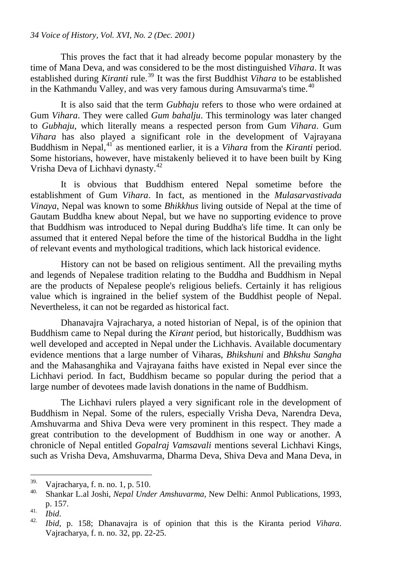#### *34 Voice of History, Vol. XVI, No. 2 (Dec. 2001)*

This proves the fact that it had already become popular monastery by the time of Mana Deva, and was considered to be the most distinguished *Vihara*. It was established during *Kiranti* rule.<sup>[39](#page-10-1)</sup> It was the first Buddhist *Vihara* to be established in the Kathmandu Valley, and was very famous during Amsuvarma's time.<sup>[40](#page-10-2)</sup>

It is also said that the term *Gubhaju* refers to those who were ordained at Gum *Vihara*. They were called *Gum bahalju*. This terminology was later changed to *Gubhaju,* which literally means a respected person from Gum *Vihara*. Gum *Vihara* has also played a significant role in the development of Vajrayana Buddhism in Nepal,[41](#page-10-3) as mentioned earlier, it is a *Vihara* from the *Kiranti* period. Some historians, however, have mistakenly believed it to have been built by King Vrisha Deva of Lichhavi dynasty.<sup>[42](#page-10-4)</sup>

It is obvious that Buddhism entered Nepal sometime before the establishment of Gum *Vihara*. In fact, as mentioned in the *Mulasarvastivada Vinaya*, Nepal was known to some *Bhikkhus* living outside of Nepal at the time of Gautam Buddha knew about Nepal, but we have no supporting evidence to prove that Buddhism was introduced to Nepal during Buddha's life time. It can only be assumed that it entered Nepal before the time of the historical Buddha in the light of relevant events and mythological traditions, which lack historical evidence.

History can not be based on religious sentiment. All the prevailing myths and legends of Nepalese tradition relating to the Buddha and Buddhism in Nepal are the products of Nepalese people's religious beliefs. Certainly it has religious value which is ingrained in the belief system of the Buddhist people of Nepal. Nevertheless, it can not be regarded as historical fact.

Dhanavajra Vajracharya, a noted historian of Nepal, is of the opinion that Buddhism came to Nepal during the *Kirant* period, but historically, Buddhism was well developed and accepted in Nepal under the Lichhavis. Available documentary evidence mentions that a large number of Viharas, *Bhikshuni* and *Bhkshu Sangha*  and the Mahasanghika and Vajrayana faiths have existed in Nepal ever since the Lichhavi period. In fact, Buddhism became so popular during the period that a large number of devotees made lavish donations in the name of Buddhism.

The Lichhavi rulers played a very significant role in the development of Buddhism in Nepal. Some of the rulers, especially Vrisha Deva, Narendra Deva, Amshuvarma and Shiva Deva were very prominent in this respect. They made a great contribution to the development of Buddhism in one way or another. A chronicle of Nepal entitled *Gopalraj Vamsavali* mentions several Lichhavi Kings, such as Vrisha Deva, Amshuvarma, Dharma Deva, Shiva Deva and Mana Deva, in

 39. <sup>39.</sup> Vajracharya, f. n. no. 1, p. 510.

<span id="page-9-1"></span>Shankar L.al Joshi, *Nepal Under Amshuvarma*, New Delhi: Anmol Publications, 1993, p. 157. 41. *Ibid*. 42. *Ibid*, p. 158; Dhanavajra is of opinion that this is the Kiranta period *Vihara*.

<span id="page-9-2"></span>

<span id="page-9-0"></span>Vajracharya, f. n. no. 32, pp. 22-25.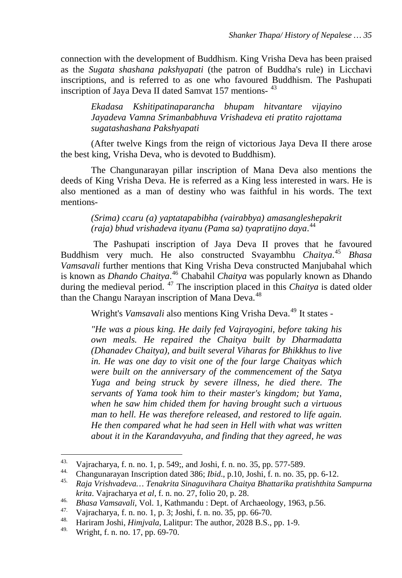connection with the development of Buddhism. King Vrisha Deva has been praised as the *Sugata shashana pakshyapati* (the patron of Buddha's rule) in Licchavi inscriptions, and is referred to as one who favoured Buddhism. The Pashupati inscription of Jaya Deva II dated Samvat 157 mentions-<sup>[43](#page-11-0)</sup>

*Ekadasa Kshitipatinaparancha bhupam hitvantare vijayino Jayadeva Vamna Srimanbabhuva Vrishadeva eti pratito rajottama sugatashashana Pakshyapati* 

(After twelve Kings from the reign of victorious Jaya Deva II there arose the best king, Vrisha Deva, who is devoted to Buddhism).

The Changunarayan pillar inscription of Mana Deva also mentions the deeds of King Vrisha Deva. He is referred as a King less interested in wars. He is also mentioned as a man of destiny who was faithful in his words. The text mentions-

*(Srima) ccaru (a) yaptatapabibha (vairabbya) amasangleshepakrit (raja) bhud vrishadeva ityanu (Pama sa) tyapratijno daya*. [44](#page-12-0)

 The Pashupati inscription of Jaya Deva II proves that he favoured Buddhism very much. He also constructed Svayambhu *Chaitya*. [45](#page-12-1) *Bhasa Vamsavali* further mentions that King Vrisha Deva constructed Manjubahal which is known as *Dhando Chaitya*. [46](#page-12-2) Chabahil *Chaitya* was popularly known as Dhando during the medieval period. <sup>[47](#page-12-3)</sup> The inscription placed in this *Chaitya* is dated older than the Changu Narayan inscription of Mana Deva.<sup>[48](#page-12-4)</sup>

Wright's *Vamsavali* also mentions King Vrisha Deva.<sup>[49](#page-12-5)</sup> It states -

*"He was a pious king. He daily fed Vajrayogini, before taking his own meals. He repaired the Chaitya built by Dharmadatta (Dhanadev Chaitya), and built several Viharas for Bhikkhus to live in. He was one day to visit one of the four large Chaityas which were built on the anniversary of the commencement of the Satya Yuga and being struck by severe illness, he died there. The servants of Yama took him to their master's kingdom; but Yama, when he saw him chided them for having brought such a virtuous man to hell. He was therefore released, and restored to life again. He then compared what he had seen in Hell with what was written about it in the Karandavyuha, and finding that they agreed, he was* 

 $\frac{1}{43}$ .

Vajracharya, f. n. no. 1, p. 549;, and Joshi, f. n. no. 35, pp. 577-589.<br>
<sup>44.</sup> Changunarayan Inscription dated 386; *Ibid.*, p.10, Joshi, f. n. no. 35, pp. 6-12.

<span id="page-10-2"></span><span id="page-10-1"></span>Changunarayan Inscription dated 386; *Ibid*., p.10, Joshi, f. n. no. 35, pp. 6-12. 45. *Raja Vrishvadeva… Tenakrita Sinaguvihara Chaitya Bhattarika pratishthita Sampurna krita*. Vajracharya *et al*, f. n. no. 27, folio 20, p. 28.<br><sup>46.</sup> *Bhasa Vamsavali*, Vol. 1, Kathmandu : Dept. of Archaeology, 1963, p.56.<br><sup>47.</sup> Vairasharya f. n. no. 1, p. <sup>2</sup>; Joshi, f. n. no. 25, pp. 66.70.

<span id="page-10-3"></span><sup>&</sup>lt;sup>47.</sup> Vajracharya, f. n. no. 1, p. 3; Joshi, f. n. no. 35, pp. 66-70.<br><sup>48.</sup> Heritam Joshi, *Himinala*, Lalitnur, The author, 2028 B.S.

Hariram Joshi, *Himjvala*, Lalitpur: The author, 2028 B.S., pp. 1-9.

<span id="page-10-4"></span><span id="page-10-0"></span><sup>49.</sup> Wright, f. n. no. 17, pp. 69-70.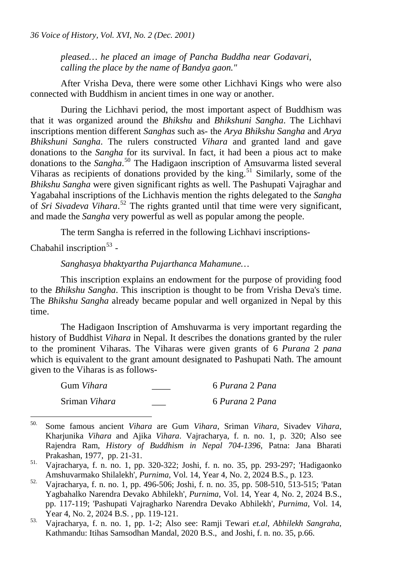*pleased… he placed an image of Pancha Buddha near Godavari, calling the place by the name of Bandya gaon."* 

After Vrisha Deva, there were some other Lichhavi Kings who were also connected with Buddhism in ancient times in one way or another.

During the Lichhavi period, the most important aspect of Buddhism was that it was organized around the *Bhikshu* and *Bhikshuni Sangha*. The Lichhavi inscriptions mention different *Sanghas* such as- the *Arya Bhikshu Sangha* and *Arya Bhikshuni Sangha*. The rulers constructed *Vihara* and granted land and gave donations to the *Sangha* for its survival. In fact, it had been a pious act to make donations to the *Sangha*. [50](#page-13-0) The Hadigaon inscription of Amsuvarma listed several Viharas as recipients of donations provided by the king.<sup>[51](#page-13-1)</sup> Similarly, some of the *Bhikshu Sangha* were given significant rights as well. The Pashupati Vajraghar and Yagabahal inscriptions of the Lichhavis mention the rights delegated to the *Sangha* of *Sri Sivadeva Vihara*. [52](#page-13-2) The rights granted until that time were very significant, and made the *Sangha* very powerful as well as popular among the people.

The term Sangha is referred in the following Lichhavi inscriptions-

Chabahil inscription $53$  -

*Sanghasya bhaktyartha Pujarthanca Mahamune…*

This inscription explains an endowment for the purpose of providing food to the *Bhikshu Sangha*. This inscription is thought to be from Vrisha Deva's time. The *Bhikshu Sangha* already became popular and well organized in Nepal by this time.

The Hadigaon Inscription of Amshuvarma is very important regarding the history of Buddhist *Vihara* in Nepal. It describes the donations granted by the ruler to the prominent Viharas. The Viharas were given grants of 6 *Purana* 2 *pana* which is equivalent to the grant amount designated to Pashupati Nath. The amount given to the Viharas is as follows-

| Gum <i>Vihara</i>    | 6 Purana 2 Pana |
|----------------------|-----------------|
| Sriman <i>Vihara</i> | 6 Purana 2 Pana |

 $\frac{1}{50}$ . Some famous ancient *Vihara* are Gum *Vihara*, Sriman *Vihara*, Sivadev *Vihara*, Kharjunika *Vihara* and Ajika *Vihara*. Vajracharya, f. n. no. 1, p. 320; Also see Rajendra Ram, *History of Buddhism in Nepal 704-1396,* Patna: Jana Bharati

Prakashan, 1977, pp. 21-31.<br>
<sup>51.</sup> Vajracharya, f. n. no. 1, pp. 320-322; Joshi, f. n. no. 35, pp. 293-297; 'Hadigaonko Amshuvarmako Shilalekh', *Purnima*, Vol. 14, Year 4, No. 2, 2024 B.S., p. 123.<br>
S<sup>2</sup>. Moirocharua, f. p. p. 4. 1 pp. 406, 506; Joshi, f. p. p. 35, pp. 508, 510, 513, 515

Vajracharya, f. n. no. 1, pp. 496-506; Joshi, f. n. no. 35, pp. 508-510, 513-515; 'Patan Yagbahalko Narendra Devako Abhilekh', *Purnima*, Vol. 14, Year 4, No. 2, 2024 B.S., pp. 117-119; 'Pashupati Vajragharko Narendra Devako Abhilekh', *Purnima*, Vol. 14, Year 4, No. 2, 2024 B.S., pp. 119-121.

<span id="page-11-0"></span>Vajracharya, f. n. no. 1, pp. 1-2; Also see: Ramji Tewari *et.al*, *Abhilekh Sangraha*, Kathmandu: Itihas Samsodhan Mandal, 2020 B.S., and Joshi, f. n. no. 35, p.66.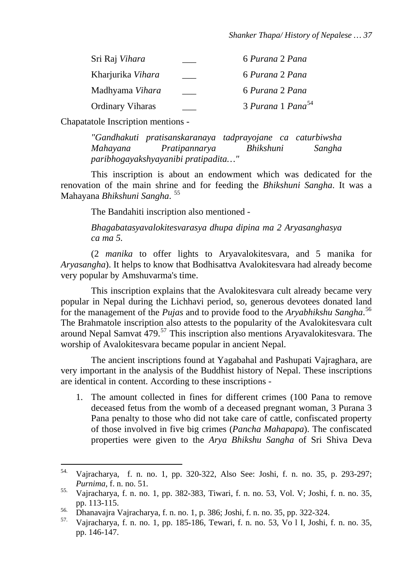| Sri Raj Vihara          | 6 Purana 2 Pana               |
|-------------------------|-------------------------------|
| Kharjurika Vihara       | 6 Purana 2 Pana               |
| Madhyama Vihara         | 6 Purana 2 Pana               |
| <b>Ordinary Viharas</b> | 3 Purana 1 Pana <sup>54</sup> |

Chapatatole Inscription mentions -

 $\overline{a}$ 

*"Gandhakuti pratisanskaranaya tadprayojane ca caturbiwsha Mahayana Pratipannarya Bhikshuni Sangha paribhogayakshyayanibi pratipadita…"* 

This inscription is about an endowment which was dedicated for the renovation of the main shrine and for feeding the *Bhikshuni Sangha*. It was a Mahayana *Bhikshuni Sangha*. [55](#page-14-1)

The Bandahiti inscription also mentioned -

*Bhagabatasyavalokitesvarasya dhupa dipina ma 2 Aryasanghasya ca ma 5.*

(2 *manika* to offer lights to Aryavalokitesvara, and 5 manika for *Aryasangha*). It helps to know that Bodhisattva Avalokitesvara had already become very popular by Amshuvarma's time.

This inscription explains that the Avalokitesvara cult already became very popular in Nepal during the Lichhavi period, so, generous devotees donated land for the management of the *Pujas* and to provide food to the *Aryabhikshu Sangha*. [56](#page-14-2) The Brahmatole inscription also attests to the popularity of the Avalokitesvara cult around Nepal Samvat 479.[57](#page-15-0) This inscription also mentions Aryavalokitesvara. The worship of Avalokitesvara became popular in ancient Nepal.

The ancient inscriptions found at Yagabahal and Pashupati Vajraghara, are very important in the analysis of the Buddhist history of Nepal. These inscriptions are identical in content. According to these inscriptions -

1. The amount collected in fines for different crimes (100 Pana to remove deceased fetus from the womb of a deceased pregnant woman, 3 Purana 3 Pana penalty to those who did not take care of cattle, confiscated property of those involved in five big crimes (*Pancha Mahapapa*). The confiscated properties were given to the *Arya Bhikshu Sangha* of Sri Shiva Deva

<span id="page-12-1"></span><span id="page-12-0"></span><sup>54.</sup> Vajracharya, f. n. no. 1, pp. 320-322, Also See: Joshi, f. n. no. 35, p. 293-297; *Purnima, f. n. no.* 51.

<span id="page-12-2"></span>Vajracharya, f. n. no. 1, pp. 382-383, Tiwari, f. n. no. 53, Vol. V; Joshi, f. n. no. 35, pp. 113-115.<br>56. Dhanayaira M

<span id="page-12-4"></span><span id="page-12-3"></span><sup>&</sup>lt;sup>56.</sup> Dhanavajra Vajracharya, f. n. no. 1, p. 386; Joshi, f. n. no. 35, pp. 322-324.  $\frac{57.}{12}$ . Vairacharya, f. n. no. 1, pp. 185, 186. Tawari, f. n. no. 53, Vo. 1, Joshi, 1

<span id="page-12-5"></span>Vajracharya, f. n. no. 1, pp. 185-186, Tewari, f. n. no. 53, Vo l I, Joshi, f. n. no. 35, pp. 146-147.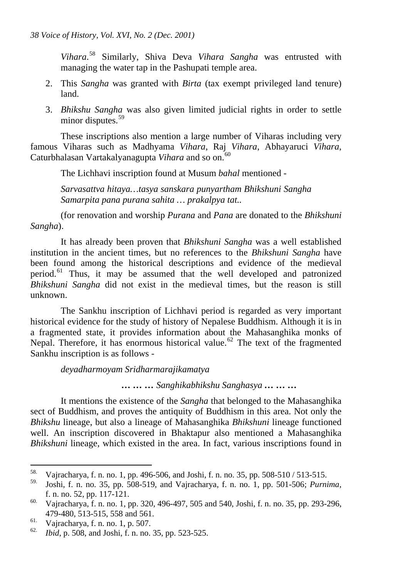*Vihara*. [58](#page-15-1) Similarly, Shiva Deva *Vihara Sangha* was entrusted with managing the water tap in the Pashupati temple area.

- 2. This *Sangha* was granted with *Birta* (tax exempt privileged land tenure) land.
- 3. *Bhikshu Sangha* was also given limited judicial rights in order to settle minor disputes.<sup>[59](#page-15-2)</sup>

These inscriptions also mention a large number of Viharas including very famous Viharas such as Madhyama *Vihara*, Raj *Vihara*, Abhayaruci *Vihara*, Caturbhalasan Vartakalyanagupta *Vihara* and so on.<sup>[60](#page-15-3)</sup>

The Lichhavi inscription found at Musum *bahal* mentioned -

*Sarvasattva hitaya…tasya sanskara punyartham Bhikshuni Sangha Samarpita pana purana sahita … prakalpya tat..* 

(for renovation and worship *Purana* and *Pana* are donated to the *Bhikshuni Sangha*).

It has already been proven that *Bhikshuni Sangha* was a well established institution in the ancient times, but no references to the *Bhikshuni Sangha* have been found among the historical descriptions and evidence of the medieval period.<sup>[61](#page-16-0)</sup> Thus, it may be assumed that the well developed and patronized *Bhikshuni Sangha* did not exist in the medieval times, but the reason is still unknown.

The Sankhu inscription of Lichhavi period is regarded as very important historical evidence for the study of history of Nepalese Buddhism. Although it is in a fragmented state, it provides information about the Mahasanghika monks of Nepal. Therefore, it has enormous historical value.<sup>[62](#page-16-1)</sup> The text of the fragmented Sankhu inscription is as follows -

*deyadharmoyam Sridharmarajikamatya* 

*… … … Sanghikabhikshu Sanghasya … … …* 

<span id="page-13-0"></span>It mentions the existence of the *Sangha* that belonged to the Mahasanghika sect of Buddhism, and proves the antiquity of Buddhism in this area. Not only the *Bhikshu* lineage, but also a lineage of Mahasanghika *Bhikshuni* lineage functioned well. An inscription discovered in Bhaktapur also mentioned a Mahasanghika *Bhikshuni* lineage, which existed in the area. In fact, various inscriptions found in

<span id="page-13-1"></span> 58. Vajracharya, f. n. no. 1, pp. 496-506, and Joshi, f. n. no. 35, pp. 508-510 / 513-515.

<span id="page-13-2"></span><sup>59.</sup> Joshi, f. n. no. 35, pp. 508-519, and Vajracharya, f. n. no. 1, pp. 501-506; *Purnima*, f. n. no. 52, pp. 117-121.

Vajracharya, f. n. no. 1, pp. 320, 496-497, 505 and 540, Joshi, f. n. no. 35, pp. 293-296, 479-480, 513-515, 558 and 561.<br>
Vajracharya, f. n. no. 1, p. 507.

<span id="page-13-3"></span>

<sup>&</sup>lt;sup>62.</sup> *Ibid*, p. 508, and Joshi, f. n. no. 35, pp. 523-525.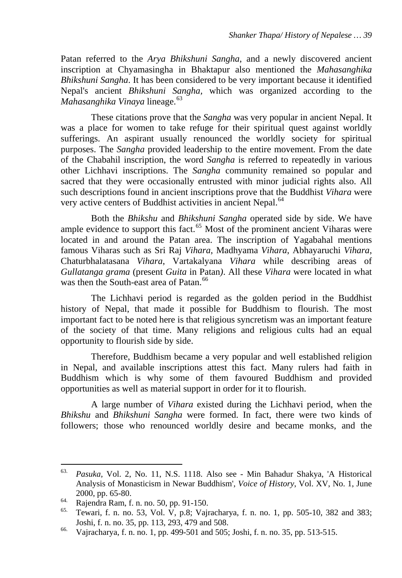Patan referred to the *Arya Bhikshuni Sangha*, and a newly discovered ancient inscription at Chyamasingha in Bhaktapur also mentioned the *Mahasanghika Bhikshuni Sangha*. It has been considered to be very important because it identified Nepal's ancient *Bhikshuni Sangha,* which was organized according to the *Mahasanghika Vinaya* lineage.<sup>[63](#page-16-2)</sup>

These citations prove that the *Sangha* was very popular in ancient Nepal. It was a place for women to take refuge for their spiritual quest against worldly sufferings. An aspirant usually renounced the worldly society for spiritual purposes. The *Sangha* provided leadership to the entire movement. From the date of the Chabahil inscription, the word *Sangha* is referred to repeatedly in various other Lichhavi inscriptions. The *Sangha* community remained so popular and sacred that they were occasionally entrusted with minor judicial rights also. All such descriptions found in ancient inscriptions prove that the Buddhist *Vihara* were very active centers of Buddhist activities in ancient Nepal.<sup>[64](#page-16-3)</sup>

Both the *Bhikshu* and *Bhikshuni Sangha* operated side by side. We have ample evidence to support this fact.<sup>[65](#page-17-0)</sup> Most of the prominent ancient Viharas were located in and around the Patan area. The inscription of Yagabahal mentions famous Viharas such as Sri Raj *Vihara*, Madhyama *Vihara*, Abhayaruchi *Vihara*, Chaturbhalatasana *Vihara*, Vartakalyana *Vihara* while describing areas of *Gullatanga grama* (present *Guita* in Patan*)*. All these *Vihara* were located in what was then the South-east area of Patan.<sup>[66](#page-17-1)</sup>

The Lichhavi period is regarded as the golden period in the Buddhist history of Nepal, that made it possible for Buddhism to flourish. The most important fact to be noted here is that religious syncretism was an important feature of the society of that time. Many religions and religious cults had an equal opportunity to flourish side by side.

Therefore, Buddhism became a very popular and well established religion in Nepal, and available inscriptions attest this fact. Many rulers had faith in Buddhism which is why some of them favoured Buddhism and provided opportunities as well as material support in order for it to flourish.

A large number of *Vihara* existed during the Lichhavi period, when the *Bhikshu* and *Bhikshuni Sangha* were formed. In fact, there were two kinds of followers; those who renounced worldly desire and became monks, and the

<span id="page-14-0"></span><sup>63.</sup> *Pasuka,* Vol. 2, No. 11, N.S. 1118. Also see - Min Bahadur Shakya, 'A Historical Analysis of Monasticism in Newar Buddhism', *Voice of History*, Vol. XV, No. 1, June  $2000$ , pp. 65-80.

<span id="page-14-1"></span><sup>&</sup>lt;sup>64</sup>. Rajendra Ram, f. n. no. 50, pp. 91-150.

<span id="page-14-2"></span>Tewari, f. n. no. 53, Vol. V, p.8; Vajracharya, f. n. no. 1, pp. 505-10, 382 and 383; Joshi, f. n. no. 35, pp. 113, 293, 479 and 508.<br><sup>66.</sup> Veiracharya, f. n. no. 1, pp. 499-501 and 505.

Vajracharya, f. n. no. 1, pp. 499-501 and 505; Joshi, f. n. no. 35, pp. 513-515.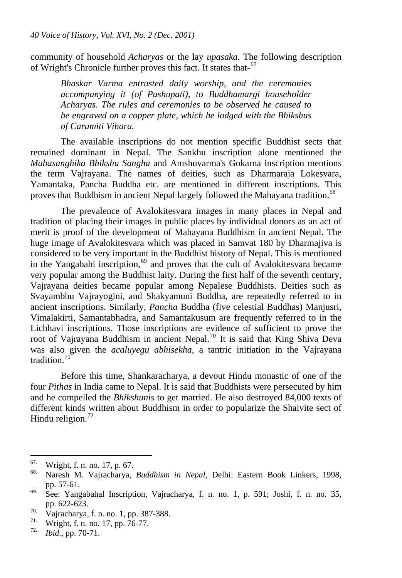*40 Voice of History, Vol. XVI, No. 2 (Dec. 2001)*

community of household *Acharyas* or the lay *upasaka*. The following description of Wright's Chronicle further proves this fact. It states that-[67](#page-17-2)

*Bhaskar Varma entrusted daily worship, and the ceremonies accompanying it (of Pashupati), to Buddhamargi householder Acharyas. The rules and ceremonies to be observed he caused to be engraved on a copper plate, which he lodged with the Bhikshus of Carumiti Vihara.* 

The available inscriptions do not mention specific Buddhist sects that remained dominant in Nepal. The Sankhu inscription alone mentioned the *Mahasanghika Bhikshu Sangha* and Amshuvarma's Gokarna inscription mentions the term Vajrayana. The names of deities, such as Dharmaraja Lokesvara, Yamantaka, Pancha Buddha etc. are mentioned in different inscriptions. This proves that Buddhism in ancient Nepal largely followed the Mahayana tradition.<sup>68</sup>

The prevalence of Avalokitesvara images in many places in Nepal and tradition of placing their images in public places by individual donors as an act of merit is proof of the development of Mahayana Buddhism in ancient Nepal. The huge image of Avalokitesvara which was placed in Samvat 180 by Dharmajiva is considered to be very important in the Buddhist history of Nepal. This is mentioned in the Yangabahi inscription, $69$  and proves that the cult of Avalokitesvara became very popular among the Buddhist laity. During the first half of the seventh century, Vajrayana deities became popular among Nepalese Buddhists. Deities such as Svayambhu Vajrayogini, and Shakyamuni Buddha, are repeatedly referred to in ancient inscriptions. Similarly, *Pancha* Buddha (five celestial Buddhas) Manjusri, Vimalakirti, Samantabhadra, and Samantakusum are frequently referred to in the Lichhavi inscriptions. Those inscriptions are evidence of sufficient to prove the root of Vajrayana Buddhism in ancient Nepal.70 It is said that King Shiva Deva was also given the *acaluyegu abhisekha*, a tantric initiation in the Vajrayana tradition. $71$ 

Before this time, Shankaracharya, a devout Hindu monastic of one of the four *Pithas* in India came to Nepal. It is said that Buddhists were persecuted by him and he compelled the *Bhikshunis* to get married. He also destroyed 84,000 texts of different kinds written about Buddhism in order to popularize the Shaivite sect of Hindu religion. $72$ 

 $rac{1}{67}$ <sup>67.</sup> Wright, f. n. no. 17, p. 67.

<span id="page-15-2"></span><span id="page-15-1"></span>Naresh M. Vajracharya, *Buddhism in Nepal*, Delhi: Eastern Book Linkers, 1998, pp. 57-61.

<span id="page-15-3"></span>See: Yangabahal Inscription, Vajracharya, f. n. no. 1, p. 591; Joshi, f. n. no. 35, pp.  $622-623$ .<br> $70. \frac{\text{V} \cdot \text{G}}{\text{V} \cdot \text{G}}$ 

<sup>&</sup>lt;sup>70.</sup> Vajracharya, f. n. no. 1, pp. 387-388.<br><sup>71.</sup> Whicht f. n. no. 17 nn 76, 77.

<span id="page-15-0"></span>Wright, f. n. no. 17, pp. 76-77. 72. *Ibid.*, pp. 70-71.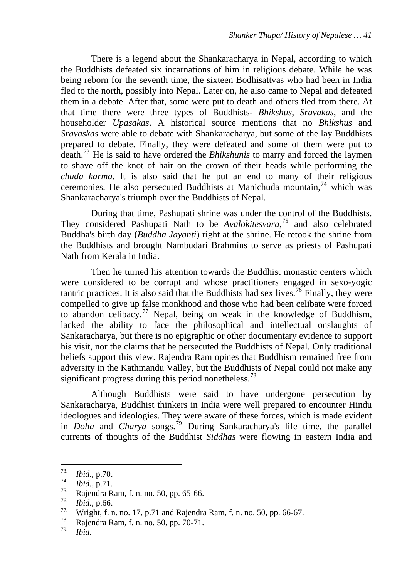There is a legend about the Shankaracharya in Nepal, according to which the Buddhists defeated six incarnations of him in religious debate. While he was being reborn for the seventh time, the sixteen Bodhisattvas who had been in India fled to the north, possibly into Nepal. Later on, he also came to Nepal and defeated them in a debate. After that, some were put to death and others fled from there. At that time there were three types of Buddhists- *Bhikshus*, *Sravakas*, and the householder *Upasakas*. A historical source mentions that no *Bhikshus* and *Sravaskas* were able to debate with Shankaracharya, but some of the lay Buddhists prepared to debate. Finally, they were defeated and some of them were put to death.73 He is said to have ordered the *Bhikshunis* to marry and forced the laymen to shave off the knot of hair on the crown of their heads while performing the *chuda karma*. It is also said that he put an end to many of their religious ceremonies. He also persecuted Buddhists at Manichuda mountain,  $^{74}$  which was Shankaracharya's triumph over the Buddhists of Nepal.

During that time, Pashupati shrine was under the control of the Buddhists. They considered Pashupati Nath to be *Avalokitesvara*, 75 and also celebrated Buddha's birth day (*Buddha Jayanti*) right at the shrine. He retook the shrine from the Buddhists and brought Nambudari Brahmins to serve as priests of Pashupati Nath from Kerala in India.

Then he turned his attention towards the Buddhist monastic centers which were considered to be corrupt and whose practitioners engaged in sexo-yogic tantric practices. It is also said that the Buddhists had sex lives.<sup>76</sup> Finally, they were compelled to give up false monkhood and those who had been celibate were forced to abandon celibacy.<sup>77</sup> Nepal, being on weak in the knowledge of Buddhism, lacked the ability to face the philosophical and intellectual onslaughts of Sankaracharya, but there is no epigraphic or other documentary evidence to support his visit, nor the claims that he persecuted the Buddhists of Nepal. Only traditional beliefs support this view. Rajendra Ram opines that Buddhism remained free from adversity in the Kathmandu Valley, but the Buddhists of Nepal could not make any significant progress during this period nonetheless.<sup>78</sup>

Although Buddhists were said to have undergone persecution by Sankaracharya, Buddhist thinkers in India were well prepared to encounter Hindu ideologues and ideologies. They were aware of these forces, which is made evident in *Doha* and *Charya* songs.<sup>79</sup> During Sankaracharya's life time, the parallel currents of thoughts of the Buddhist *Siddhas* were flowing in eastern India and

<span id="page-16-2"></span><sup>73.</sup> *Ibid.*, p.70. 74. *Ibid.*, p.71. 75.

<span id="page-16-3"></span><sup>&</sup>lt;sup>75.</sup> Rajendra Ram, f. n. no. 50, pp. 65-66.<br> *<sup>76.</sup> Ibid.*, p.66.<br>
<sup>77.</sup> *Wright f. n. no.* 17. p.71 and Bajandra

<sup>&</sup>lt;sup>77</sup>. Wright, f. n. no. 17, p.71 and Rajendra Ram, f. n. no. 50, pp. 66-67.<br><sup>78.</sup> Paincha Bam, f. n. p. 50, pp. 70, 71

<span id="page-16-1"></span><span id="page-16-0"></span>Rajendra Ram, f. n. no. 50, pp. 70-71. 79. *Ibid*.